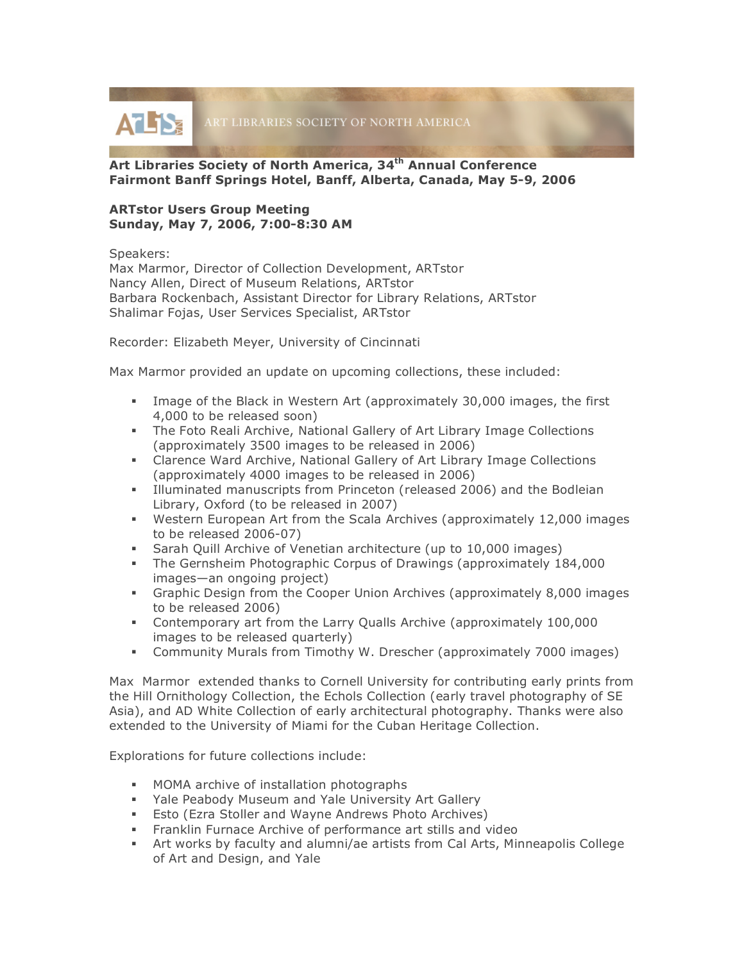ATLIS ART LIBRARIES SOCIETY OF NORTH AMERICA

# **Art Libraries Society of North America, 34th Annual Conference Fairmont Banff Springs Hotel, Banff, Alberta, Canada, May 5-9, 2006**

## **ARTstor Users Group Meeting Sunday, May 7, 2006, 7:00-8:30 AM**

Speakers:

Max Marmor, Director of Collection Development, ARTstor Nancy Allen, Direct of Museum Relations, ARTstor Barbara Rockenbach, Assistant Director for Library Relations, ARTstor Shalimar Fojas, User Services Specialist, ARTstor

Recorder: Elizabeth Meyer, University of Cincinnati

Max Marmor provided an update on upcoming collections, these included:

- Image of the Black in Western Art (approximately 30,000 images, the first 4,000 to be released soon)
- The Foto Reali Archive, National Gallery of Art Library Image Collections (approximately 3500 images to be released in 2006)
- Clarence Ward Archive, National Gallery of Art Library Image Collections (approximately 4000 images to be released in 2006)
- Illuminated manuscripts from Princeton (released 2006) and the Bodleian Library, Oxford (to be released in 2007)
- Western European Art from the Scala Archives (approximately 12,000 images to be released 2006-07)
- Sarah Quill Archive of Venetian architecture (up to 10,000 images)
- The Gernsheim Photographic Corpus of Drawings (approximately 184,000 images—an ongoing project)
- Graphic Design from the Cooper Union Archives (approximately 8,000 images to be released 2006)
- Contemporary art from the Larry Qualls Archive (approximately 100,000 images to be released quarterly)
- Community Murals from Timothy W. Drescher (approximately 7000 images)

Max Marmor extended thanks to Cornell University for contributing early prints from the Hill Ornithology Collection, the Echols Collection (early travel photography of SE Asia), and AD White Collection of early architectural photography. Thanks were also extended to the University of Miami for the Cuban Heritage Collection.

Explorations for future collections include:

- **MOMA** archive of installation photographs
- Yale Peabody Museum and Yale University Art Gallery
- **Esto (Ezra Stoller and Wayne Andrews Photo Archives)**
- **Franklin Furnace Archive of performance art stills and video**
- Art works by faculty and alumni/ae artists from Cal Arts, Minneapolis College of Art and Design, and Yale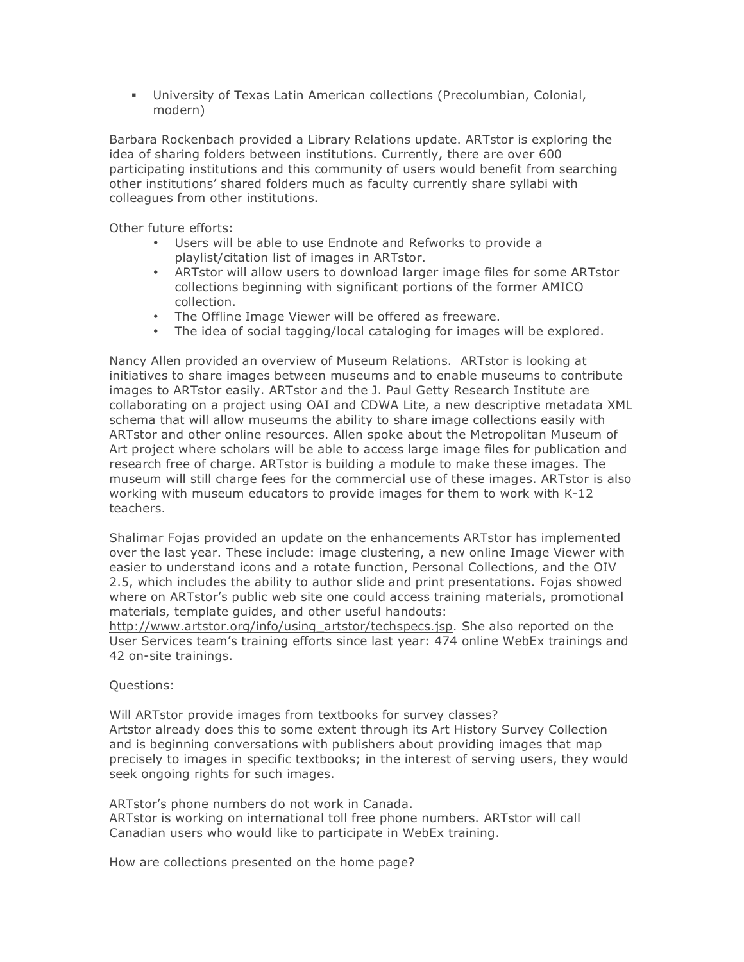University of Texas Latin American collections (Precolumbian, Colonial, modern)

Barbara Rockenbach provided a Library Relations update. ARTstor is exploring the idea of sharing folders between institutions. Currently, there are over 600 participating institutions and this community of users would benefit from searching other institutions' shared folders much as faculty currently share syllabi with colleagues from other institutions.

Other future efforts:

- Users will be able to use Endnote and Refworks to provide a playlist/citation list of images in ARTstor.
- ARTstor will allow users to download larger image files for some ARTstor collections beginning with significant portions of the former AMICO collection.
- The Offline Image Viewer will be offered as freeware.
- The idea of social tagging/local cataloging for images will be explored.

Nancy Allen provided an overview of Museum Relations. ARTstor is looking at initiatives to share images between museums and to enable museums to contribute images to ARTstor easily. ARTstor and the J. Paul Getty Research Institute are collaborating on a project using OAI and CDWA Lite, a new descriptive metadata XML schema that will allow museums the ability to share image collections easily with ARTstor and other online resources. Allen spoke about the Metropolitan Museum of Art project where scholars will be able to access large image files for publication and research free of charge. ARTstor is building a module to make these images. The museum will still charge fees for the commercial use of these images. ARTstor is also working with museum educators to provide images for them to work with K-12 teachers.

Shalimar Fojas provided an update on the enhancements ARTstor has implemented over the last year. These include: image clustering, a new online Image Viewer with easier to understand icons and a rotate function, Personal Collections, and the OIV 2.5, which includes the ability to author slide and print presentations. Fojas showed where on ARTstor's public web site one could access training materials, promotional materials, template guides, and other useful handouts:

http://www.artstor.org/info/using\_artstor/techspecs.jsp. She also reported on the User Services team's training efforts since last year: 474 online WebEx trainings and 42 on-site trainings.

### Questions:

Will ARTstor provide images from textbooks for survey classes? Artstor already does this to some extent through its Art History Survey Collection and is beginning conversations with publishers about providing images that map precisely to images in specific textbooks; in the interest of serving users, they would seek ongoing rights for such images.

ARTstor's phone numbers do not work in Canada. ARTstor is working on international toll free phone numbers. ARTstor will call Canadian users who would like to participate in WebEx training.

How are collections presented on the home page?